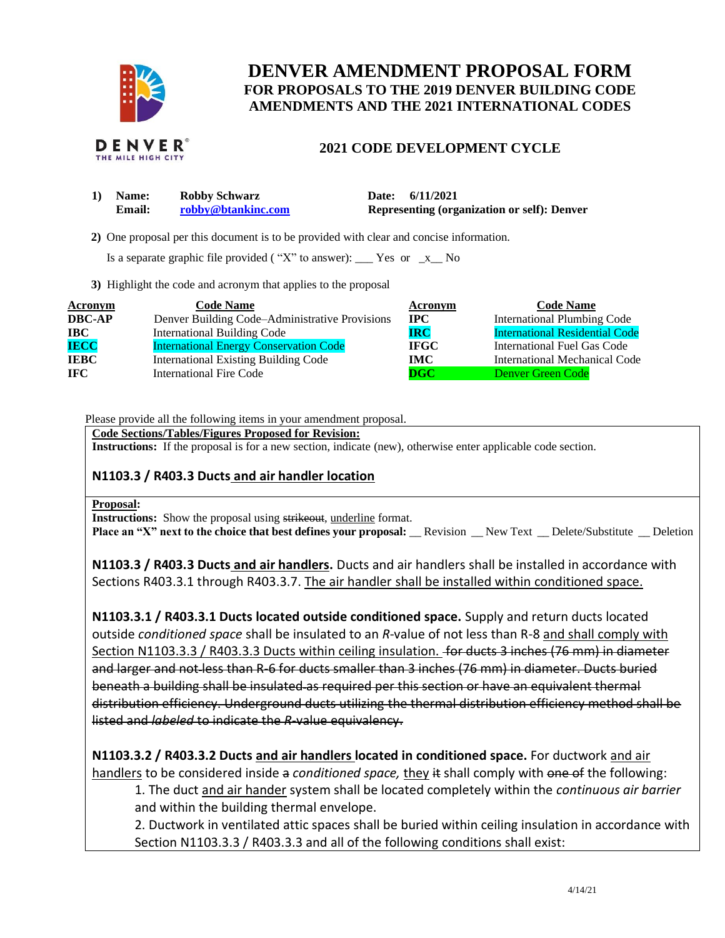

# **DENVER AMENDMENT PROPOSAL FORM FOR PROPOSALS TO THE 2019 DENVER BUILDING CODE AMENDMENTS AND THE 2021 INTERNATIONAL CODES**

### **2021 CODE DEVELOPMENT CYCLE**

| 1) Name:      | <b>Robby Schwarz</b> | Date: 6/11/2021                                    |
|---------------|----------------------|----------------------------------------------------|
| <b>Email:</b> | robby@btankinc.com   | <b>Representing (organization or self): Denver</b> |

 **2)** One proposal per this document is to be provided with clear and concise information.

Is a separate graphic file provided ("X" to answer):  $\Gamma$  Yes or  $\Gamma$  No

**3)** Highlight the code and acronym that applies to the proposal

| Acronym       | <b>Code Name</b>                               | Acronym      | <b>Code Name</b>                      |
|---------------|------------------------------------------------|--------------|---------------------------------------|
| <b>DBC-AP</b> | Denver Building Code-Administrative Provisions | $_{\rm IPC}$ | <b>International Plumbing Code</b>    |
| IBC           | <b>International Building Code</b>             | <b>IRC</b>   | <b>International Residential Code</b> |
| <b>IECC</b>   | <b>International Energy Conservation Code</b>  | <b>IFGC</b>  | International Fuel Gas Code           |
| <b>IEBC</b>   | <b>International Existing Building Code</b>    | IMC          | International Mechanical Code         |
| <b>IFC</b>    | International Fire Code                        | $\bf DGC$    | <b>Denver Green Code</b>              |

Please provide all the following items in your amendment proposal.

**Code Sections/Tables/Figures Proposed for Revision:**

**Instructions:** If the proposal is for a new section, indicate (new), otherwise enter applicable code section.

### **N1103.3 / R403.3 Ducts and air handler location**

### **Proposal:**

**Instructions:** Show the proposal using strikeout, underline format. **Place an "X" next to the choice that best defines your proposal:** Revision New Text Delete/Substitute Deletion

**N1103.3 / R403.3 Ducts and air handlers.** Ducts and air handlers shall be installed in accordance with Sections R403.3.1 through R403.3.7. The air handler shall be installed within conditioned space.

**N1103.3.1 / R403.3.1 Ducts located outside conditioned space.** Supply and return ducts located outside *conditioned space* shall be insulated to an *R*-value of not less than R-8 and shall comply with Section N1103.3.3 / R403.3.3 Ducts within ceiling insulation. for ducts 3 inches (76 mm) in diameter and larger and not less than R-6 for ducts smaller than 3 inches (76 mm) in diameter. Ducts buried beneath a building shall be insulated as required per this section or have an equivalent thermal distribution efficiency. Underground ducts utilizing the thermal distribution efficiency method shall be listed and *labeled* to indicate the *R*-value equivalency.

**N1103.3.2 / R403.3.2 Ducts and air handlers located in conditioned space.** For ductwork and air handlers to be considered inside a *conditioned space,* they it shall comply with one of the following:

1. The duct and air hander system shall be located completely within the *continuous air barrier*  and within the building thermal envelope.

2. Ductwork in ventilated attic spaces shall be buried within ceiling insulation in accordance with Section N1103.3.3 / R403.3.3 and all of the following conditions shall exist: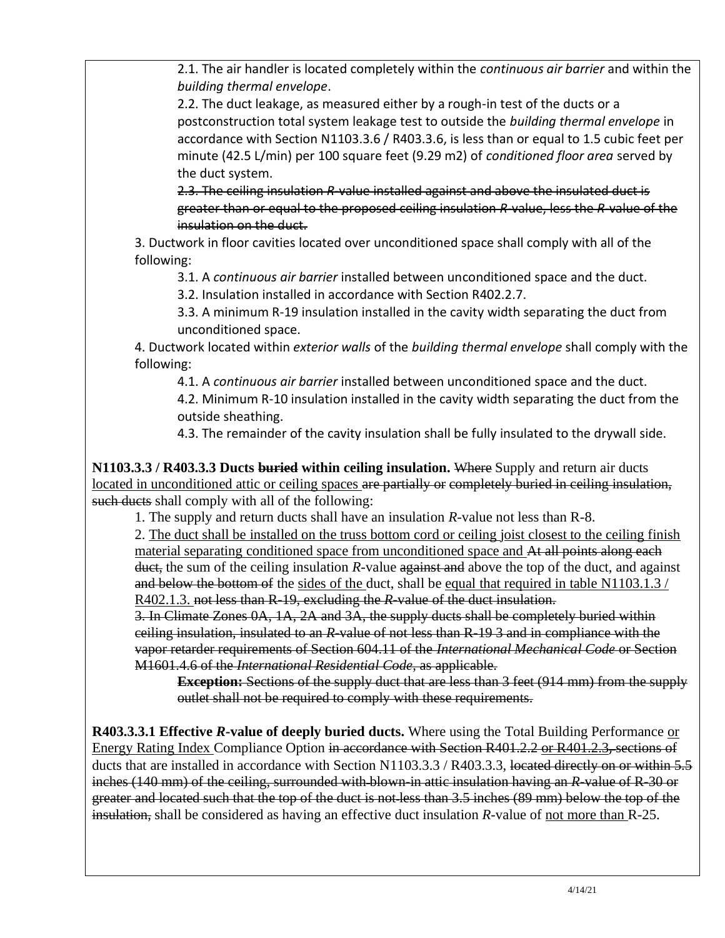2.1. The air handler is located completely within the *continuous air barrier* and within the *building thermal envelope*.

2.2. The duct leakage, as measured either by a rough-in test of the ducts or a postconstruction total system leakage test to outside the *building thermal envelope* in accordance with Section N1103.3.6 / R403.3.6, is less than or equal to 1.5 cubic feet per minute (42.5 L/min) per 100 square feet (9.29 m2) of *conditioned floor area* served by the duct system.

2.3. The ceiling insulation *R*-value installed against and above the insulated duct is greater than or equal to the proposed ceiling insulation *R*-value, less the *R*-value of the insulation on the duct.

3. Ductwork in floor cavities located over unconditioned space shall comply with all of the following:

3.1. A *continuous air barrier* installed between unconditioned space and the duct.

3.2. Insulation installed in accordance with Section R402.2.7.

3.3. A minimum R-19 insulation installed in the cavity width separating the duct from unconditioned space.

4. Ductwork located within *exterior walls* of the *building thermal envelope* shall comply with the following:

4.1. A *continuous air barrier* installed between unconditioned space and the duct.

4.2. Minimum R-10 insulation installed in the cavity width separating the duct from the outside sheathing.

4.3. The remainder of the cavity insulation shall be fully insulated to the drywall side.

**N1103.3.3 / R403.3.3 Ducts buried within ceiling insulation.** Where Supply and return air ducts located in unconditioned attic or ceiling spaces are partially or completely buried in ceiling insulation, such ducts shall comply with all of the following:

1. The supply and return ducts shall have an insulation *R*-value not less than R-8.

2. The duct shall be installed on the truss bottom cord or ceiling joist closest to the ceiling finish material separating conditioned space from unconditioned space and At all points along each duct, the sum of the ceiling insulation *R*-value against and above the top of the duct, and against and below the bottom of the sides of the duct, shall be equal that required in table N1103.1.3 / R402.1.3. not less than R-19, excluding the *R-*value of the duct insulation.

3. In Climate Zones 0A, 1A, 2A and 3A, the supply ducts shall be completely buried within ceiling insulation, insulated to an *R*-value of not less than R-19 3 and in compliance with the vapor retarder requirements of Section 604.11 of the *International Mechanical Code* or Section M1601.4.6 of the *International Residential Code*, as applicable.

**Exception:** Sections of the supply duct that are less than 3 feet (914 mm) from the supply outlet shall not be required to comply with these requirements.

**R403.3.3.1 Effective** *R***-value of deeply buried ducts.** Where using the Total Building Performance or Energy Rating Index Compliance Option in accordance with Section R401.2.2 or R401.2.3, sections of ducts that are installed in accordance with Section N1103.3.3 / R403.3.3, located directly on or within 5.5 inches (140 mm) of the ceiling, surrounded with blown-in attic insulation having an *R*-value of R-30 or greater and located such that the top of the duct is not less than 3.5 inches (89 mm) below the top of the insulation, shall be considered as having an effective duct insulation *R*-value of not more than R-25.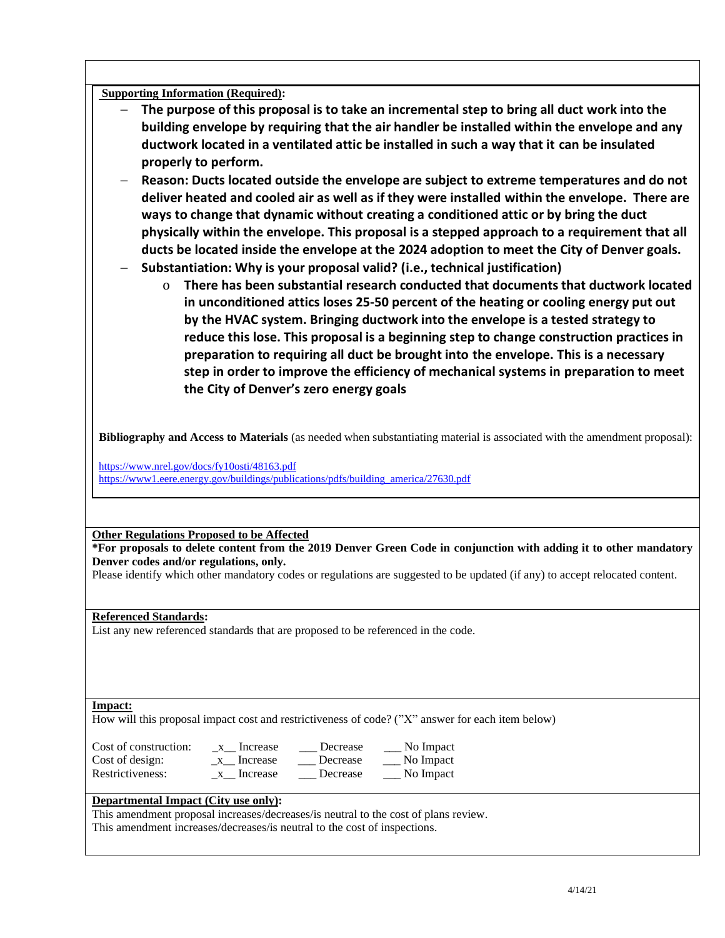**Supporting Information (Required):** 

- The purpose of this proposal is to take an incremental step to bring all duct work into the **building envelope by requiring that the air handler be installed within the envelope and any ductwork located in a ventilated attic be installed in such a way that it can be insulated properly to perform.**
- − **Reason: Ducts located outside the envelope are subject to extreme temperatures and do not deliver heated and cooled air as well as if they were installed within the envelope. There are ways to change that dynamic without creating a conditioned attic or by bring the duct physically within the envelope. This proposal is a stepped approach to a requirement that all ducts be located inside the envelope at the 2024 adoption to meet the City of Denver goals.**
- − **Substantiation: Why is your proposal valid? (i.e., technical justification)** 
	- o **There has been substantial research conducted that documents that ductwork located in unconditioned attics loses 25-50 percent of the heating or cooling energy put out by the HVAC system. Bringing ductwork into the envelope is a tested strategy to reduce this lose. This proposal is a beginning step to change construction practices in preparation to requiring all duct be brought into the envelope. This is a necessary step in order to improve the efficiency of mechanical systems in preparation to meet the City of Denver's zero energy goals**

**Bibliography and Access to Materials** (as needed when substantiating material is associated with the amendment proposal):

<https://www.nrel.gov/docs/fy10osti/48163.pdf> [https://www1.eere.energy.gov/buildings/publications/pdfs/building\\_america/27630.pdf](https://www1.eere.energy.gov/buildings/publications/pdfs/building_america/27630.pdf)

**Other Regulations Proposed to be Affected**

**\*For proposals to delete content from the 2019 Denver Green Code in conjunction with adding it to other mandatory Denver codes and/or regulations, only.**

Please identify which other mandatory codes or regulations are suggested to be updated (if any) to accept relocated content.

### **Referenced Standards:**

List any new referenced standards that are proposed to be referenced in the code.

#### **Impact:**

How will this proposal impact cost and restrictiveness of code? ("X" answer for each item below)

Cost of construction: \_\_\_ x \_\_ Increase \_\_\_ Decrease \_\_\_ No Impact Cost of design: \_x\_\_ Increase \_\_\_ Decrease \_\_\_ No Impact

Restrictiveness: \_x\_\_ Increase \_\_\_ Decrease \_\_\_ No Impact

### **Departmental Impact (City use only):**

This amendment proposal increases/decreases/is neutral to the cost of plans review.

This amendment increases/decreases/is neutral to the cost of inspections.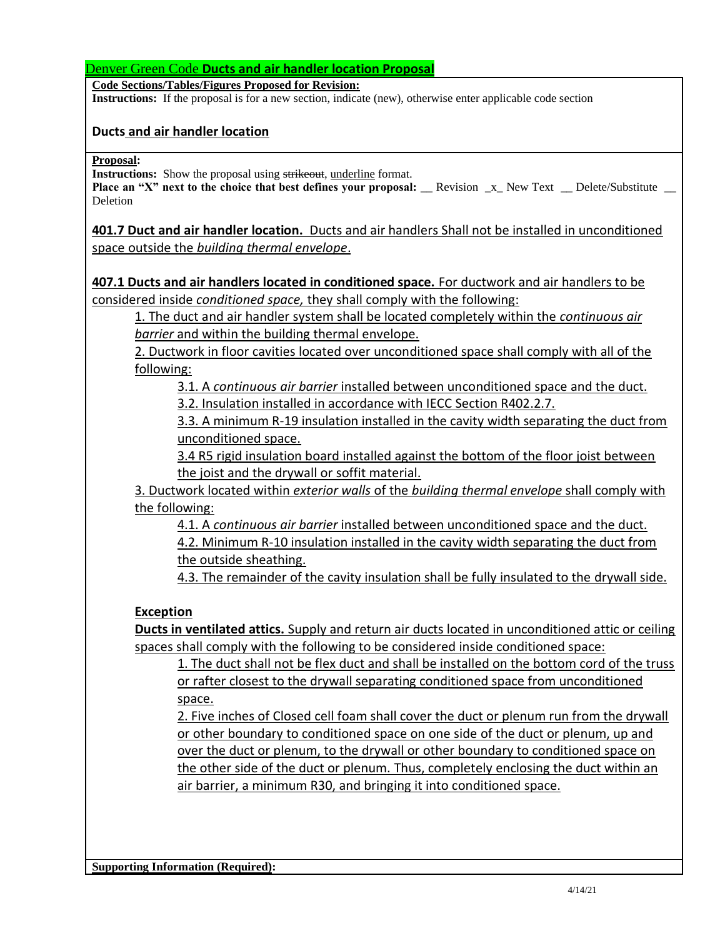Denver Green Code **Ducts and air handler location Proposal**

**Code Sections/Tables/Figures Proposed for Revision:**

**Instructions:** If the proposal is for a new section, indicate (new), otherwise enter applicable code section

## **Ducts and air handler location**

**Proposal:**

**Instructions:** Show the proposal using strikeout, underline format.

**Place an "X" next to the choice that best defines your proposal:** Revision x New Text Delete/Substitute Deletion

**401.7 Duct and air handler location.** Ducts and air handlers Shall not be installed in unconditioned space outside the *building thermal envelope*.

**407.1 Ducts and air handlers located in conditioned space.** For ductwork and air handlers to be considered inside *conditioned space,* they shall comply with the following:

1. The duct and air handler system shall be located completely within the *continuous air barrier* and within the building thermal envelope.

2. Ductwork in floor cavities located over unconditioned space shall comply with all of the following:

3.1. A *continuous air barrier* installed between unconditioned space and the duct. 3.2. Insulation installed in accordance with IECC Section R402.2.7.

3.3. A minimum R-19 insulation installed in the cavity width separating the duct from unconditioned space.

3.4 R5 rigid insulation board installed against the bottom of the floor joist between the joist and the drywall or soffit material.

3. Ductwork located within *exterior walls* of the *building thermal envelope* shall comply with the following:

4.1. A *continuous air barrier* installed between unconditioned space and the duct. 4.2. Minimum R-10 insulation installed in the cavity width separating the duct from the outside sheathing.

4.3. The remainder of the cavity insulation shall be fully insulated to the drywall side.

### **Exception**

**Ducts in ventilated attics.** Supply and return air ducts located in unconditioned attic or ceiling spaces shall comply with the following to be considered inside conditioned space:

1. The duct shall not be flex duct and shall be installed on the bottom cord of the truss or rafter closest to the drywall separating conditioned space from unconditioned space.

2. Five inches of Closed cell foam shall cover the duct or plenum run from the drywall or other boundary to conditioned space on one side of the duct or plenum, up and over the duct or plenum, to the drywall or other boundary to conditioned space on the other side of the duct or plenum. Thus, completely enclosing the duct within an air barrier, a minimum R30, and bringing it into conditioned space.

**Supporting Information (Required):**